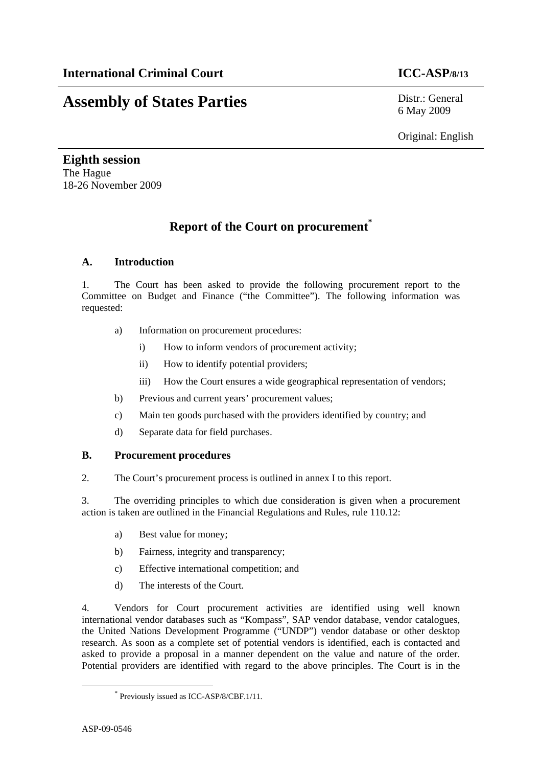# **Assembly of States Parties** Distr.: General

6 May 2009

Original: English

**Eighth session**  The Hague 18-26 November 2009

## **Report of the Court on procurement\***

#### **A. Introduction**

1. The Court has been asked to provide the following procurement report to the Committee on Budget and Finance ("the Committee"). The following information was requested:

- a) Information on procurement procedures:
	- i) How to inform vendors of procurement activity;
	- ii) How to identify potential providers;
	- iii) How the Court ensures a wide geographical representation of vendors;
- b) Previous and current years' procurement values;
- c) Main ten goods purchased with the providers identified by country; and
- d) Separate data for field purchases.

#### **B. Procurement procedures**

2. The Court's procurement process is outlined in annex I to this report.

3. The overriding principles to which due consideration is given when a procurement action is taken are outlined in the Financial Regulations and Rules, rule 110.12:

- a) Best value for money;
- b) Fairness, integrity and transparency;
- c) Effective international competition; and
- d) The interests of the Court.

4. Vendors for Court procurement activities are identified using well known international vendor databases such as "Kompass", SAP vendor database, vendor catalogues, the United Nations Development Programme ("UNDP") vendor database or other desktop research. As soon as a complete set of potential vendors is identified, each is contacted and asked to provide a proposal in a manner dependent on the value and nature of the order. Potential providers are identified with regard to the above principles. The Court is in the

 <sup>\*</sup> Previously issued as ICC-ASP/8/CBF.1/11.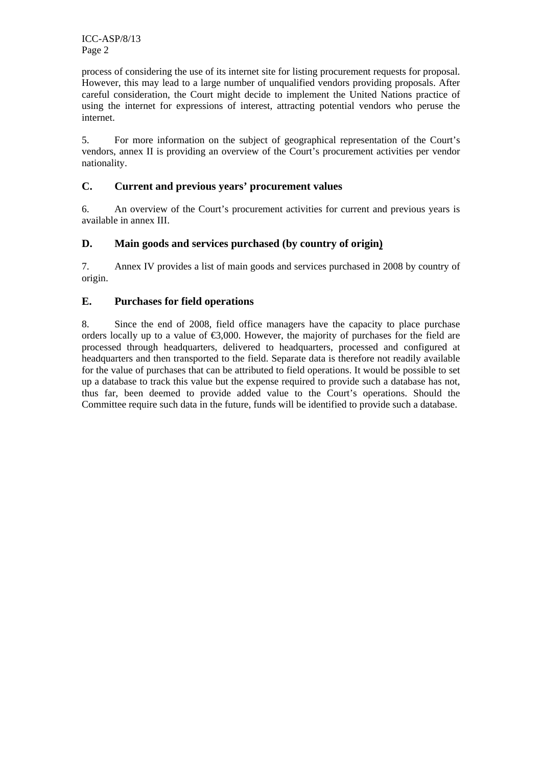ICC-ASP/8/13 Page 2

process of considering the use of its internet site for listing procurement requests for proposal. However, this may lead to a large number of unqualified vendors providing proposals. After careful consideration, the Court might decide to implement the United Nations practice of using the internet for expressions of interest, attracting potential vendors who peruse the internet.

5. For more information on the subject of geographical representation of the Court's vendors, annex II is providing an overview of the Court's procurement activities per vendor nationality.

#### **C. Current and previous years' procurement values**

6. An overview of the Court's procurement activities for current and previous years is available in annex III.

#### **D. Main goods and services purchased (by country of origin)**

7. Annex IV provides a list of main goods and services purchased in 2008 by country of origin.

#### **E. Purchases for field operations**

8. Since the end of 2008, field office managers have the capacity to place purchase orders locally up to a value of  $\epsilon$ 3,000. However, the majority of purchases for the field are processed through headquarters, delivered to headquarters, processed and configured at headquarters and then transported to the field. Separate data is therefore not readily available for the value of purchases that can be attributed to field operations. It would be possible to set up a database to track this value but the expense required to provide such a database has not, thus far, been deemed to provide added value to the Court's operations. Should the Committee require such data in the future, funds will be identified to provide such a database.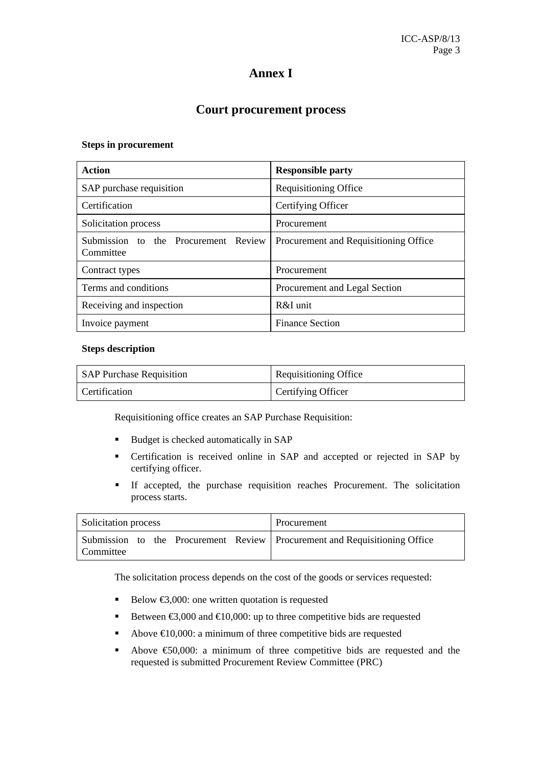## **Annex I**

#### **Court procurement process**

#### **Steps in procurement**

| Action                                            | <b>Responsible party</b>              |  |  |  |  |  |
|---------------------------------------------------|---------------------------------------|--|--|--|--|--|
| SAP purchase requisition                          | Requisitioning Office                 |  |  |  |  |  |
| Certification                                     | Certifying Officer                    |  |  |  |  |  |
| Solicitation process                              | Procurement                           |  |  |  |  |  |
| Submission to the Procurement Review<br>Committee | Procurement and Requisitioning Office |  |  |  |  |  |
| Contract types                                    | Procurement                           |  |  |  |  |  |
| Terms and conditions                              | Procurement and Legal Section         |  |  |  |  |  |
| Receiving and inspection                          | $R\&I$ unit                           |  |  |  |  |  |
| Invoice payment                                   | <b>Finance Section</b>                |  |  |  |  |  |

#### **Steps description**

| <b>SAP Purchase Requisition</b> | Requisitioning Office |
|---------------------------------|-----------------------|
| Certification                   | Certifying Officer    |

Requisitioning office creates an SAP Purchase Requisition:

- Budget is checked automatically in SAP
- Certification is received online in SAP and accepted or rejected in SAP by certifying officer.
- If accepted, the purchase requisition reaches Procurement. The solicitation process starts.

| <b>Solicitation process</b> |  |  | Procurement                                                                  |
|-----------------------------|--|--|------------------------------------------------------------------------------|
| Committee                   |  |  | Submission to the Procurement Review   Procurement and Requisitioning Office |

The solicitation process depends on the cost of the goods or services requested:

- Below  $\bigcirc$ ,000: one written quotation is requested
- Between  $\text{ } \infty,000$  and  $\text{ } \infty$  10,000: up to three competitive bids are requested
- Above  $\in$  0,000: a minimum of three competitive bids are requested
- Above €50,000: a minimum of three competitive bids are requested and the requested is submitted Procurement Review Committee (PRC)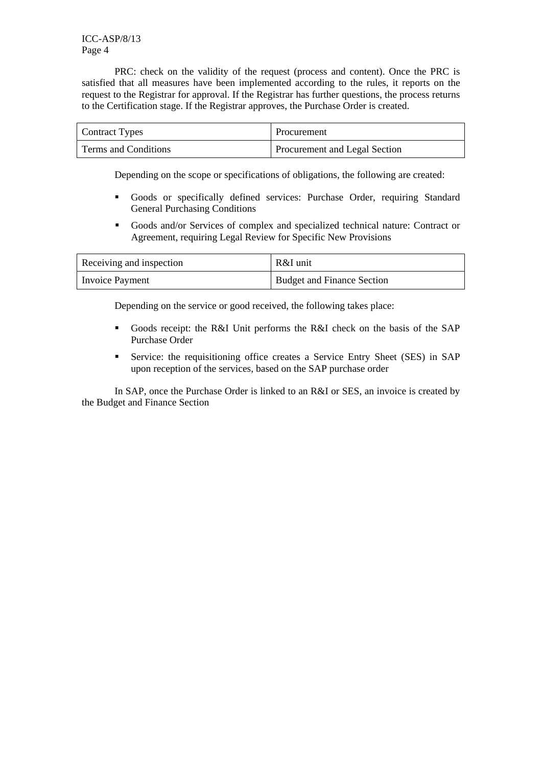ICC-ASP/8/13 Page 4

PRC: check on the validity of the request (process and content). Once the PRC is satisfied that all measures have been implemented according to the rules, it reports on the request to the Registrar for approval. If the Registrar has further questions, the process returns to the Certification stage. If the Registrar approves, the Purchase Order is created.

| Contract Types       | Procurement                          |
|----------------------|--------------------------------------|
| Terms and Conditions | <b>Procurement and Legal Section</b> |

Depending on the scope or specifications of obligations, the following are created:

- Goods or specifically defined services: Purchase Order, requiring Standard General Purchasing Conditions
- Goods and/or Services of complex and specialized technical nature: Contract or Agreement, requiring Legal Review for Specific New Provisions

| Receiving and inspection | R&I unit                   |
|--------------------------|----------------------------|
| Invoice Payment          | Budget and Finance Section |

Depending on the service or good received, the following takes place:

- Goods receipt: the R&I Unit performs the R&I check on the basis of the SAP Purchase Order
- Service: the requisitioning office creates a Service Entry Sheet (SES) in SAP upon reception of the services, based on the SAP purchase order

In SAP, once the Purchase Order is linked to an R&I or SES, an invoice is created by the Budget and Finance Section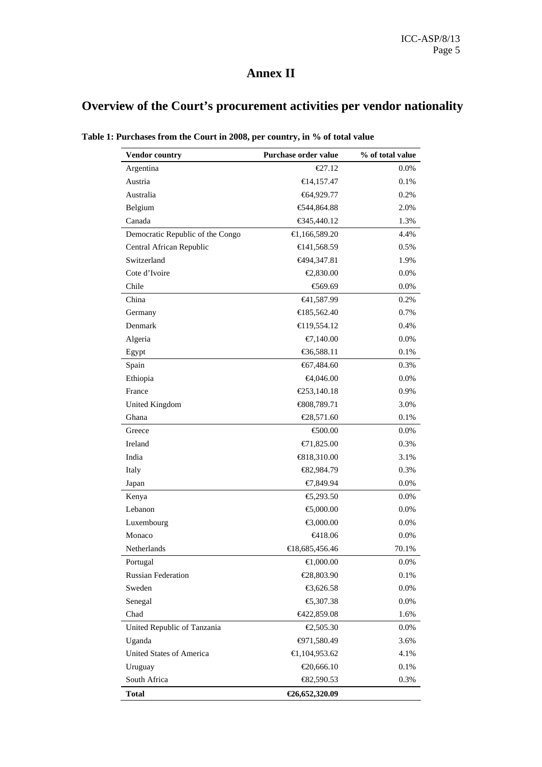## **Annex II**

## **Overview of the Court's procurement activities per vendor nationality**

| Vendor country                   | Purchase order value       | % of total value |
|----------------------------------|----------------------------|------------------|
| Argentina                        | $E$ 7.12                   | 0.0%             |
| Austria                          | €14,157.47                 | 0.1%             |
| Australia                        | €64,929.77                 | 0.2%             |
| Belgium                          | € $44,864.88$              | 2.0%             |
| Canada                           | € $345,440.12$             | 1.3%             |
| Democratic Republic of the Congo | $\bigoplus$ , 166, 589. 20 | 4.4%             |
| Central African Republic         | $\bigoplus$ 41,568.59      | 0.5%             |
| Switzerland                      | <del>€</del> 494,347.81    | 1.9%             |
| Cote d'Ivoire                    | €2,830.00                  | 0.0%             |
| Chile                            | €569.69                    | 0.0%             |
| China                            | <del>€</del> 41,587.99     | 0.2%             |
| Germany                          | € 85,562.40                | 0.7%             |
| Denmark                          | €19,554.12                 | 0.4%             |
| Algeria                          | €7,140.00                  | 0.0%             |
| Egypt                            | € $6,588.11$               | 0.1%             |
| Spain                            | €67,484.60                 | 0.3%             |
| Ethiopia                         | €4,046.00                  | $0.0\%$          |
| France                           | €253,140.18                | 0.9%             |
| United Kingdom                   | €808,789.71                | 3.0%             |
| Ghana                            | €28,571.60                 | 0.1%             |
| Greece                           | €500.00                    | $0.0\%$          |
| Ireland                          | €71,825.00                 | 0.3%             |
| India                            | € $818,310.00$             | 3.1%             |
| Italy                            | €82,984.79                 | 0.3%             |
| Japan                            | €7,849.94                  | 0.0%             |
| Kenya                            | €,293.50                   | $0.0\%$          |
| Lebanon                          | €,000.00                   | $0.0\%$          |
| Luxembourg                       | €3,000.00                  | 0.0%             |
| Monaco                           | <del>€</del> 418.06        | 0.0%             |
| Netherlands                      | €18,685,456.46             | 70.1%            |
| Portugal                         | €1,000.00                  | 0.0%             |
| <b>Russian Federation</b>        | €28,803.90                 | 0.1%             |
| Sweden                           | €3,626.58                  | 0.0%             |
| Senegal                          | €,307.38                   | 0.0%             |
| Chad                             | €422,859.08                | 1.6%             |
| United Republic of Tanzania      | €2,505.30                  | 0.0%             |
| Uganda                           | $-971,580.49$              | 3.6%             |
| United States of America         | $\bigoplus$ , 104, 953.62  | 4.1%             |
| Uruguay                          | €20,666.10                 | 0.1%             |
| South Africa                     | $\bigoplus$ 2,590.53       | 0.3%             |
| <b>Total</b>                     | €26,652,320.09             |                  |

**Table 1: Purchases from the Court in 2008, per country, in % of total value**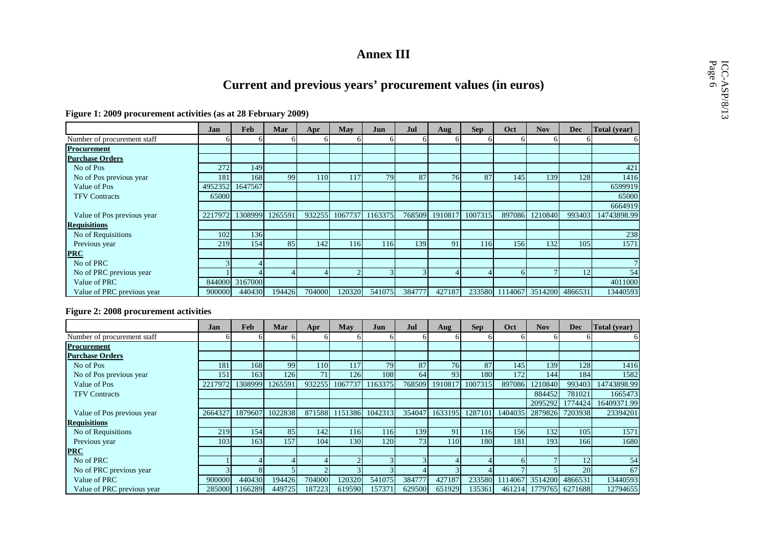## **Annex III**

# **Current and previous years' procurement values (in euros)**<br>Figure 1: 2009 procurement activities (as at 28 February 2009)

|                             | Jan     | Feb            | Mar     | Apr    | May        | Jun             | Jul    | Aug     | <b>Sep</b> | Oct    | <b>Nov</b>                     | <b>Dec</b> | Total (year) |
|-----------------------------|---------|----------------|---------|--------|------------|-----------------|--------|---------|------------|--------|--------------------------------|------------|--------------|
| Number of procurement staff |         |                |         |        | 61         | hl              |        |         |            | h.     |                                |            | 61           |
| <b>Procurement</b>          |         |                |         |        |            |                 |        |         |            |        |                                |            |              |
| <b>Purchase Orders</b>      |         |                |         |        |            |                 |        |         |            |        |                                |            |              |
| No of Pos                   | 272     | 149            |         |        |            |                 |        |         |            |        |                                |            | 421          |
| No of Pos previous year     | 181     | 168            | 99      | 110    | 117        | 79              | 87     | 76      | 87         | 145    | 139                            | 128        | 1416         |
| Value of Pos                | 4952352 | 1647567        |         |        |            |                 |        |         |            |        |                                |            | 6599919      |
| <b>TFV Contracts</b>        | 65000   |                |         |        |            |                 |        |         |            |        |                                |            | 65000        |
|                             |         |                |         |        |            |                 |        |         |            |        |                                |            | 6664919      |
| Value of Pos previous year  | 2217972 | 1308999        | 1265591 | 932255 |            | 1067737 1163375 | 768509 | 1910817 | 1007315    | 897086 | 1210840                        | 993403     | 14743898.99  |
| <b>Requisitions</b>         |         |                |         |        |            |                 |        |         |            |        |                                |            |              |
| No of Requisitions          | 102     | 136            |         |        |            |                 |        |         |            |        |                                |            | 238          |
| Previous year               | 219     | 154            | 85      | 142    | <b>116</b> | 116             | 139    | 91      | 116        | 156    | 132                            | 105        | 1571         |
| <b>PRC</b>                  |         |                |         |        |            |                 |        |         |            |        |                                |            |              |
| No of PRC                   |         |                |         |        |            |                 |        |         |            |        |                                |            |              |
| No of PRC previous year     |         |                |         |        | $\sim$     |                 |        |         |            | 61     |                                | 12         | 54           |
| Value of PRC                |         | 844000 3167000 |         |        |            |                 |        |         |            |        |                                |            | 4011000      |
| Value of PRC previous year  | 900000  | 440430         | 194426  | 704000 | 120320     | 541075          | 384777 | 427187  |            |        | 233580 1114067 3514200 4866531 |            | 13440593     |

#### **Figure 2: 2008 procurement activities**

|                             | Jan          | Feb     | Mar     | Apr    | May       | Jun     | Jul    | Aug     | <b>Sep</b>       | Oct    | <b>Nov</b>                              | <b>Dec</b> | Total (year) |
|-----------------------------|--------------|---------|---------|--------|-----------|---------|--------|---------|------------------|--------|-----------------------------------------|------------|--------------|
| Number of procurement staff | <sub>0</sub> |         |         |        | ΩI        |         |        |         |                  |        |                                         |            |              |
| <b>Procurement</b>          |              |         |         |        |           |         |        |         |                  |        |                                         |            |              |
| <b>Purchase Orders</b>      |              |         |         |        |           |         |        |         |                  |        |                                         |            |              |
| No of Pos                   | 181          | 168     | 99      | 110    | 117       | 79      | 87     | 76      | 87               | 145    | 139                                     | 128        | 1416         |
| No of Pos previous year     | 151          | 163     | 126     | 71     | 126       | 108     | 64     | 93      | 180              | 172    | 144                                     | 184        | 1582         |
| Value of Pos                | 2217972      | 1308999 | 1265591 | 932255 | 1067737   | 1163375 | 768509 | 1910817 | 1007315          | 897086 | 1210840                                 | 993403     | 14743898.99  |
| <b>TFV Contracts</b>        |              |         |         |        |           |         |        |         |                  |        | 884452                                  | 781021     | 1665473      |
|                             |              |         |         |        |           |         |        |         |                  |        | 2095292                                 | 1774424    | 16409371.99  |
| Value of Pos previous year  | 2664327      | 1879607 | 1022838 | 871588 | 1151386   | 1042313 | 354047 |         |                  |        | 1633195 1287101 1404035 2879826 7203938 |            | 23394201     |
| <b>Requisitions</b>         |              |         |         |        |           |         |        |         |                  |        |                                         |            |              |
| No of Requisitions          | 219          | 154     | 85      | 142    | 116       | 116     | 139    | 91      | 116 <sup> </sup> | 156    | 132                                     | 105        | 1571         |
| Previous year               | 103          | 163     | 157     | 104    | 130       | 120     | 73     | 110     | 180              | 181    | 193                                     | 166        | 1680         |
| <b>PRC</b>                  |              |         |         |        |           |         |        |         |                  |        |                                         |            |              |
| No of PRC                   |              |         |         |        | $\bigcap$ |         |        |         |                  |        |                                         | 12         | 54           |
| No of PRC previous year     |              |         |         |        |           |         |        |         |                  |        |                                         | 201        | 67           |
| Value of PRC                | 900000       | 440430  | 194426  | 704000 | 120320    | 541075  | 384777 | 427187  |                  |        | 233580 1114067 3514200 4866531          |            | 13440593     |
| Value of PRC previous year  | 285000       | 1166289 | 449725  | 187223 | 619590    | 157371  | 629500 | 651929  | 135361           |        | 461214 1779765 6271688                  |            | 12794655     |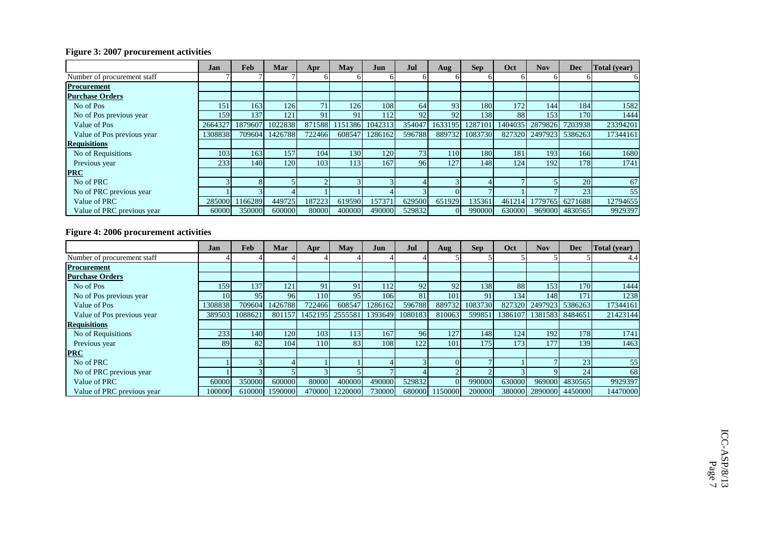#### **Figure 3: 2007 procurement activities**

|                             | Jan     | Feb     | Mar     | Apr    | May    | Jun     | <b>Jul</b> | Aug    | <b>Sep</b>     | Oct    | <b>Nov</b>                              | Dec             | Total (year) |
|-----------------------------|---------|---------|---------|--------|--------|---------|------------|--------|----------------|--------|-----------------------------------------|-----------------|--------------|
| Number of procurement staff |         |         |         |        | hl     |         |            |        | h              |        |                                         |                 |              |
| <b>Procurement</b>          |         |         |         |        |        |         |            |        |                |        |                                         |                 |              |
| <b>Purchase Orders</b>      |         |         |         |        |        |         |            |        |                |        |                                         |                 |              |
| No of Pos                   | 151     | 163     | 126I    | 71     | 126    | 108     | 64         | 93     | 180            | 172    | 144                                     | 184             | 1582         |
| No of Pos previous year     | 159     | 137     | 121     | 91     | 91     | 112     | 92         | 92     | 138            | 88     | 153                                     | 170             | 1444         |
| Value of Pos                | 2664327 | 1879607 | 1022838 | 871588 | 151386 | 1042313 | 354047     |        |                |        | 1633195 1287101 1404035 2879826 7203938 |                 | 23394201     |
| Value of Pos previous year  | 1308838 | 709604  | 1426788 | 722466 | 608547 | 1286162 | 596788     |        | 889732 1083730 |        | 827320 2497923 5386263                  |                 | 17344161     |
| <b>Requisitions</b>         |         |         |         |        |        |         |            |        |                |        |                                         |                 |              |
| No of Requisitions          | 103     | 163     | 157'    | 104    | 130    | 120I    | 73         | 110    | 180            | 181    | 193                                     | 166             | 1680         |
| Previous year               | 233     | 140     | 120     | 103    | 113    | 167     | 96         | 127    | 148            | 124    | 192                                     | 178             | 1741         |
| <b>PRC</b>                  |         |         |         |        |        |         |            |        |                |        |                                         |                 |              |
| No of PRC                   |         |         |         |        |        |         |            |        |                |        |                                         | 20              | 67           |
| No of PRC previous year     |         |         |         |        |        |         |            |        |                |        |                                         | 23              | 55           |
| Value of PRC                | 285000  | 1166289 | 449725  | 187223 | 619590 | 157371  | 629500     | 651929 | 135361         | 461214 |                                         | 1779765 6271688 | 12794655     |
| Value of PRC previous year  | 60000   | 350000  | 600000  | 80000  | 400000 | 490000  | 529832     | ΩI     | 990000         | 630000 |                                         | 969000 4830565  | 9929397      |

#### **Figure 4: 2006 procurement activities**

|                             | Jan     | <b>Feb</b> | Mar     | Apr     | May     | Jun        | Jul     | Aug     | <b>Sep</b> | Oct    | <b>Nov</b>              | <b>Dec</b>      | Total (vear) |
|-----------------------------|---------|------------|---------|---------|---------|------------|---------|---------|------------|--------|-------------------------|-----------------|--------------|
| Number of procurement staff |         |            |         |         |         |            |         |         |            |        |                         |                 | 4.4          |
| <b>Procurement</b>          |         |            |         |         |         |            |         |         |            |        |                         |                 |              |
| <b>Purchase Orders</b>      |         |            |         |         |         |            |         |         |            |        |                         |                 |              |
| No of Pos                   | 159     | 137        | 121     | 91      | 91      | <b>112</b> | 92      | 92      | 138        | 88     | 153                     | 170             | 1444         |
| No of Pos previous year     | 10      | 95         | 96      | 110     | 95      | 106        | 81      | 101     | 91         | 134    | 148                     | 171             | 1238         |
| Value of Pos                | 1308838 | 709604     | 1426788 | 722466  | 608547  | 1286162    | 596788  | 889732  | 1083730    |        | 827320 2497923 5386263  |                 | 17344161     |
| Value of Pos previous year  | 389503  | 1088621    | 801157  | 1452195 | 2555581 | 1393649    | 1080183 | 810063  | 599851     |        | 1386107 1381583 8484651 |                 | 21423144     |
| <b>Requisitions</b>         |         |            |         |         |         |            |         |         |            |        |                         |                 |              |
| No of Requisitions          | 233     | 140        | 120     | 103     | 113     | 167        | 96      | 127     | 148        | 124    | 192                     | 178             | 1741         |
| Previous year               | 89      | 82         | 104     | 110     | 83      | 108        | 122     | 101     | 175        | 173    | 177                     | 139             | 1463         |
| <b>PRC</b>                  |         |            |         |         |         |            |         |         |            |        |                         |                 |              |
| No of PRC                   |         |            |         |         |         |            |         |         |            |        |                         | 23              | 55           |
| No of PRC previous year     |         |            |         |         |         |            |         |         |            |        |                         | 24              | 68           |
| Value of PRC                | 60000   | 350000     | 600000  | 80000   | 400000  | 490000     | 529832  | ΩI      | 990000     | 630000 |                         | 969000 4830565  | 9929397      |
| Value of PRC previous year  | 100000  | 610000     | 1590000 | 470000  | 1220000 | 730000     | 680000  | 1150000 | 200000     | 380000 |                         | 2890000 4450000 | 14470000     |